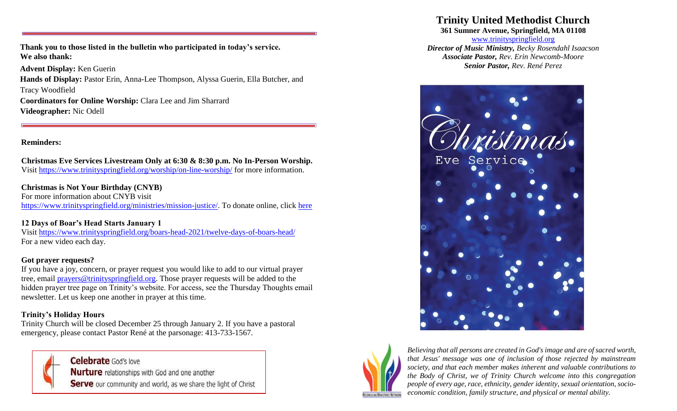**Thank you to those listed in the bulletin who participated in today's service. We also thank:**

**Advent Display:** Ken Guerin **Hands of Display:** Pastor Erin, Anna-Lee Thompson, Alyssa Guerin, Ella Butcher, and Tracy Woodfield **Coordinators for Online Worship:** Clara Lee and Jim Sharrard **Videographer:** Nic Odell

#### **Reminders:**

**Christmas Eve Services Livestream Only at 6:30 & 8:30 p.m. No In-Person Worship.** Visit<https://www.trinityspringfield.org/worship/on-line-worship/> for more information.

### **Christmas is Not Your Birthday (CNYB)**

For more information about CNYB visit [https://www.trinityspringfield.org/ministries/mission-justice/.](https://www.trinityspringfield.org/ministries/mission-justice/) To donate online, click [here](https://www.eservicepayments.com/cgi-bin/Vanco_ver3.vps?appver3=Fi1giPL8kwX_Oe1AO50jRj0vhAzzjr3DiPty7PedB4zHO3iVYxvvxhHjRfLOeq662EvVVAEjqawDomKT1pboucydriD7IDxVhDy8eQdwHic=)

## **12 Days of Boar's Head Starts January 1**

Visit<https://www.trinityspringfield.org/boars-head-2021/twelve-days-of-boars-head/> For a new video each day.

#### **Got prayer requests?**

If you have a joy, concern, or prayer request you would like to add to our virtual prayer tree, email [prayers@trinityspringfield.org.](mailto:prayers@trinityspringfield.org) Those prayer requests will be added to the hidden prayer tree page on Trinity's website. For access, see the Thursday Thoughts email newsletter. Let us keep one another in prayer at this time.

## **Trinity's Holiday Hours**

Trinity Church will be closed December 25 through January 2. If you have a pastoral emergency, please contact Pastor René at the parsonage: 413-733-1567.



Celebrate God's love **Nurture** relationships with God and one another Serve our community and world, as we share the light of Christ

## **Trinity United Methodist Church**

**361 Sumner Avenue, Springfield, MA 01108**

[www.trinityspringfield.org](http://www.trinityspringfield.org/) *Director of Music Ministry, Becky Rosendahl Isaacson Associate Pastor, Rev. Erin Newcomb-Moore Senior Pastor, Rev. René Perez*





*Believing that all persons are created in God's image and are of sacred worth, that Jesus' message was one of inclusion of those rejected by mainstream society, and that each member makes inherent and valuable contributions to the Body of Christ, we of Trinity Church welcome into this congregation people of every age, race, ethnicity, gender identity, sexual orientation, socioeconomic condition, family structure, and physical or mental ability.*